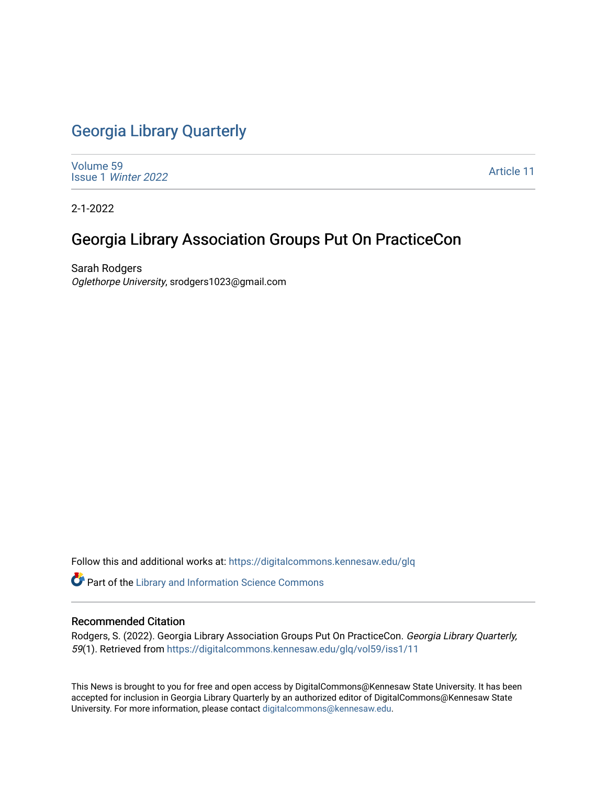# [Georgia Library Quarterly](https://digitalcommons.kennesaw.edu/glq)

[Volume 59](https://digitalcommons.kennesaw.edu/glq/vol59) Issue 1 [Winter 2022](https://digitalcommons.kennesaw.edu/glq/vol59/iss1) 

[Article 11](https://digitalcommons.kennesaw.edu/glq/vol59/iss1/11) 

2-1-2022

# Georgia Library Association Groups Put On PracticeCon

Sarah Rodgers Oglethorpe University, srodgers1023@gmail.com

Follow this and additional works at: [https://digitalcommons.kennesaw.edu/glq](https://digitalcommons.kennesaw.edu/glq?utm_source=digitalcommons.kennesaw.edu%2Fglq%2Fvol59%2Fiss1%2F11&utm_medium=PDF&utm_campaign=PDFCoverPages) 

Part of the [Library and Information Science Commons](http://network.bepress.com/hgg/discipline/1018?utm_source=digitalcommons.kennesaw.edu%2Fglq%2Fvol59%2Fiss1%2F11&utm_medium=PDF&utm_campaign=PDFCoverPages) 

#### Recommended Citation

Rodgers, S. (2022). Georgia Library Association Groups Put On PracticeCon. Georgia Library Quarterly, 59(1). Retrieved from [https://digitalcommons.kennesaw.edu/glq/vol59/iss1/11](https://digitalcommons.kennesaw.edu/glq/vol59/iss1/11?utm_source=digitalcommons.kennesaw.edu%2Fglq%2Fvol59%2Fiss1%2F11&utm_medium=PDF&utm_campaign=PDFCoverPages) 

This News is brought to you for free and open access by DigitalCommons@Kennesaw State University. It has been accepted for inclusion in Georgia Library Quarterly by an authorized editor of DigitalCommons@Kennesaw State University. For more information, please contact [digitalcommons@kennesaw.edu.](mailto:digitalcommons@kennesaw.edu)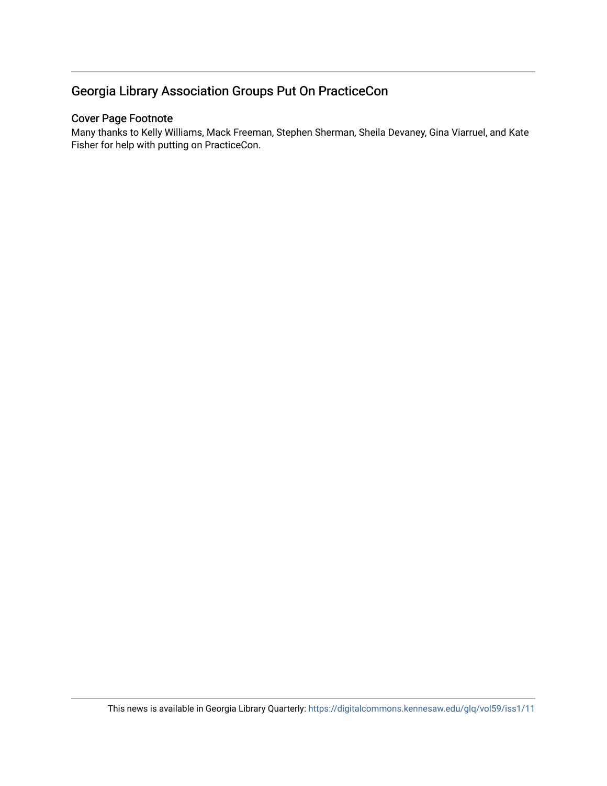## Georgia Library Association Groups Put On PracticeCon

### Cover Page Footnote

Many thanks to Kelly Williams, Mack Freeman, Stephen Sherman, Sheila Devaney, Gina Viarruel, and Kate Fisher for help with putting on PracticeCon.